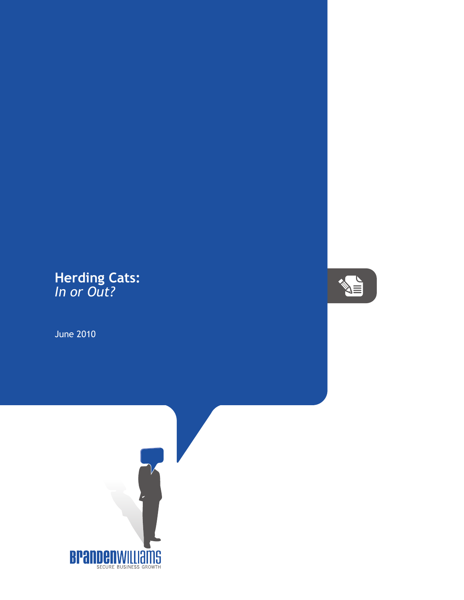## **Herding Cats:** *In or Out?*

June 2010



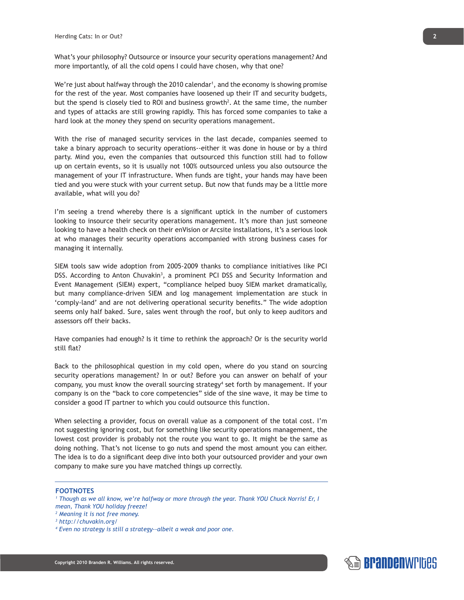What's your philosophy? Outsource or insource your security operations management? And more importantly, of all the cold opens I could have chosen, why that one?

We're just about halfway through the 2010 calendar<sup>1</sup>, and the economy is showing promise for the rest of the year. Most companies have loosened up their IT and security budgets, but the spend is closely tied to ROI and business growth<sup>2</sup>. At the same time, the number and types of attacks are still growing rapidly. This has forced some companies to take a hard look at the money they spend on security operations management.

With the rise of managed security services in the last decade, companies seemed to take a binary approach to security operations--either it was done in house or by a third party. Mind you, even the companies that outsourced this function still had to follow up on certain events, so it is usually not 100% outsourced unless you also outsource the management of your IT infrastructure. When funds are tight, your hands may have been tied and you were stuck with your current setup. But now that funds may be a little more available, what will you do?

I'm seeing a trend whereby there is a significant uptick in the number of customers looking to insource their security operations management. It's more than just someone looking to have a health check on their enVision or Arcsite installations, it's a serious look at who manages their security operations accompanied with strong business cases for managing it internally.

SIEM tools saw wide adoption from 2005-2009 thanks to compliance initiatives like PCI DSS. According to Anton Chuvakin<sup>3</sup>, a prominent PCI DSS and Security Information and Event Management (SIEM) expert, "compliance helped buoy SIEM market dramatically, but many compliance-driven SIEM and log management implementation are stuck in 'comply-land' and are not delivering operational security benefits." The wide adoption seems only half baked. Sure, sales went through the roof, but only to keep auditors and assessors off their backs.

Have companies had enough? Is it time to rethink the approach? Or is the security world still flat?

Back to the philosophical question in my cold open, where do you stand on sourcing security operations management? In or out? Before you can answer on behalf of your company, you must know the overall sourcing strategy<sup>4</sup> set forth by management. If your company is on the "back to core competencies" side of the sine wave, it may be time to consider a good IT partner to which you could outsource this function.

When selecting a provider, focus on overall value as a component of the total cost. I'm not suggesting ignoring cost, but for something like security operations management, the lowest cost provider is probably not the route you want to go. It might be the same as doing nothing. That's not license to go nuts and spend the most amount you can either. The idea is to do a significant deep dive into both your outsourced provider and your own company to make sure you have matched things up correctly.

## **FOOTNOTES**

- <sup>1</sup> Though as we all know, we're halfway or more through the year. Thank YOU Chuck Norris! Er, I *mean, Thank YOU holiday freeze!*
- *2 Meaning it is not free money.*
- *3 http://chuvakin.org/*



*<sup>4</sup> Even no strategy is still a strategy--albeit a weak and poor one.*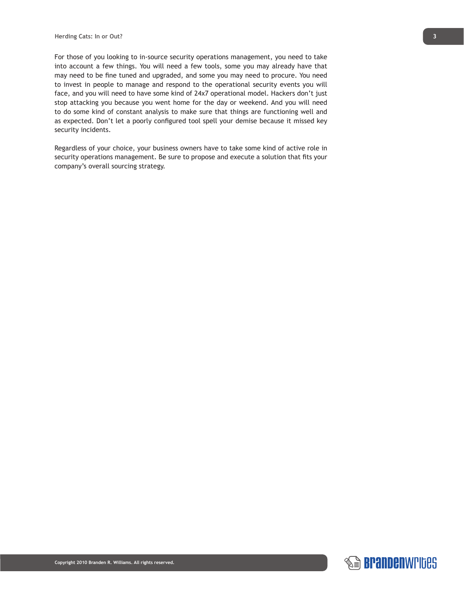For those of you looking to in-source security operations management, you need to take into account a few things. You will need a few tools, some you may already have that may need to be fine tuned and upgraded, and some you may need to procure. You need to invest in people to manage and respond to the operational security events you will face, and you will need to have some kind of 24x7 operational model. Hackers don't just stop attacking you because you went home for the day or weekend. And you will need to do some kind of constant analysis to make sure that things are functioning well and as expected. Don't let a poorly configured tool spell your demise because it missed key security incidents.

Regardless of your choice, your business owners have to take some kind of active role in security operations management. Be sure to propose and execute a solution that fits your company's overall sourcing strategy.